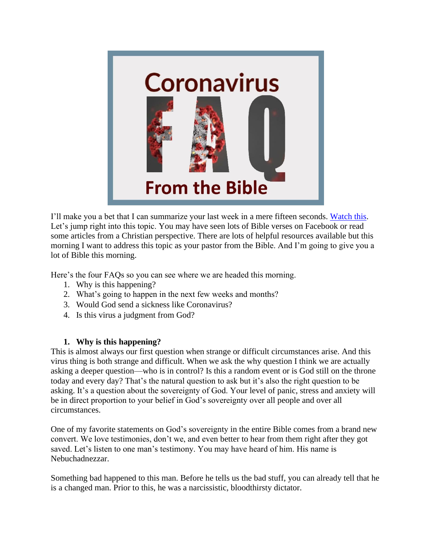

I'll make you a bet that I can summarize your last week in a mere fifteen seconds. [Watch this.](https://youtu.be/NZ-U6juZ1qM) Let's jump right into this topic. You may have seen lots of Bible verses on Facebook or read some articles from a Christian perspective. There are lots of helpful resources available but this morning I want to address this topic as your pastor from the Bible. And I'm going to give you a lot of Bible this morning.

Here's the four FAQs so you can see where we are headed this morning.

- 1. Why is this happening?
- 2. What's going to happen in the next few weeks and months?
- 3. Would God send a sickness like Coronavirus?
- 4. Is this virus a judgment from God?

# **1. Why is this happening?**

This is almost always our first question when strange or difficult circumstances arise. And this virus thing is both strange and difficult. When we ask the why question I think we are actually asking a deeper question—who is in control? Is this a random event or is God still on the throne today and every day? That's the natural question to ask but it's also the right question to be asking. It's a question about the sovereignty of God. Your level of panic, stress and anxiety will be in direct proportion to your belief in God's sovereignty over all people and over all circumstances.

One of my favorite statements on God's sovereignty in the entire Bible comes from a brand new convert. We love testimonies, don't we, and even better to hear from them right after they got saved. Let's listen to one man's testimony. You may have heard of him. His name is Nebuchadnezzar.

Something bad happened to this man. Before he tells us the bad stuff, you can already tell that he is a changed man. Prior to this, he was a narcissistic, bloodthirsty dictator.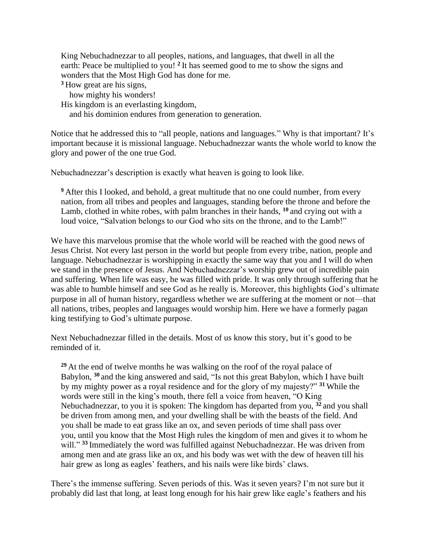King Nebuchadnezzar to all peoples, nations, and languages, that dwell in all the earth: Peace be multiplied to you! <sup>2</sup> It has seemed good to me to show the signs and wonders that the Most High God has done for me.

**<sup>3</sup>** How great are his signs,

how mighty his wonders!

His kingdom is an everlasting kingdom,

and his dominion endures from generation to generation.

Notice that he addressed this to "all people, nations and languages." Why is that important? It's important because it is missional language. Nebuchadnezzar wants the whole world to know the glory and power of the one true God.

Nebuchadnezzar's description is exactly what heaven is going to look like.

**<sup>9</sup>** After this I looked, and behold, a great multitude that no one could number, from every nation, from all tribes and peoples and languages, standing before the throne and before the Lamb, clothed in white robes, with palm branches in their hands, **<sup>10</sup>** and crying out with a loud voice, "Salvation belongs to our God who sits on the throne, and to the Lamb!"

We have this marvelous promise that the whole world will be reached with the good news of Jesus Christ. Not every last person in the world but people from every tribe, nation, people and language. Nebuchadnezzar is worshipping in exactly the same way that you and I will do when we stand in the presence of Jesus. And Nebuchadnezzar's worship grew out of incredible pain and suffering. When life was easy, he was filled with pride. It was only through suffering that he was able to humble himself and see God as he really is. Moreover, this highlights God's ultimate purpose in all of human history, regardless whether we are suffering at the moment or not—that all nations, tribes, peoples and languages would worship him. Here we have a formerly pagan king testifying to God's ultimate purpose.

Next Nebuchadnezzar filled in the details. Most of us know this story, but it's good to be reminded of it.

**<sup>29</sup>** At the end of twelve months he was walking on the roof of the royal palace of Babylon, **<sup>30</sup>** and the king answered and said, "Is not this great Babylon, which I have built by my mighty power as a royal residence and for the glory of my majesty?" **<sup>31</sup>** While the words were still in the king's mouth, there fell a voice from heaven, "O King Nebuchadnezzar, to you it is spoken: The kingdom has departed from you, **<sup>32</sup>** and you shall be driven from among men, and your dwelling shall be with the beasts of the field. And you shall be made to eat grass like an ox, and seven periods of time shall pass over you, until you know that the Most High rules the kingdom of men and gives it to whom he will."<sup>33</sup> Immediately the word was fulfilled against Nebuchadnezzar. He was driven from among men and ate grass like an ox, and his body was wet with the dew of heaven till his hair grew as long as eagles' feathers, and his nails were like birds' claws.

There's the immense suffering. Seven periods of this. Was it seven years? I'm not sure but it probably did last that long, at least long enough for his hair grew like eagle's feathers and his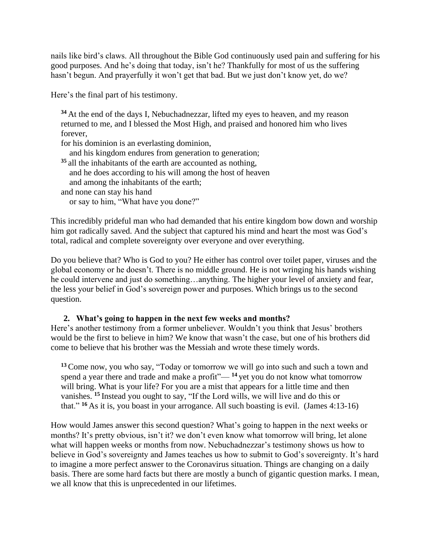nails like bird's claws. All throughout the Bible God continuously used pain and suffering for his good purposes. And he's doing that today, isn't he? Thankfully for most of us the suffering hasn't begun. And prayerfully it won't get that bad. But we just don't know yet, do we?

Here's the final part of his testimony.

**<sup>34</sup>** At the end of the days I, Nebuchadnezzar, lifted my eyes to heaven, and my reason returned to me, and I blessed the Most High, and praised and honored him who lives forever,

for his dominion is an everlasting dominion,

and his kingdom endures from generation to generation;

**<sup>35</sup>** all the inhabitants of the earth are accounted as nothing, and he does according to his will among the host of heaven and among the inhabitants of the earth; and none can stay his hand or say to him, "What have you done?"

This incredibly prideful man who had demanded that his entire kingdom bow down and worship him got radically saved. And the subject that captured his mind and heart the most was God's total, radical and complete sovereignty over everyone and over everything.

Do you believe that? Who is God to you? He either has control over toilet paper, viruses and the global economy or he doesn't. There is no middle ground. He is not wringing his hands wishing he could intervene and just do something…anything. The higher your level of anxiety and fear, the less your belief in God's sovereign power and purposes. Which brings us to the second question.

# **2. What's going to happen in the next few weeks and months?**

Here's another testimony from a former unbeliever. Wouldn't you think that Jesus' brothers would be the first to believe in him? We know that wasn't the case, but one of his brothers did come to believe that his brother was the Messiah and wrote these timely words.

**<sup>13</sup>**Come now, you who say, "Today or tomorrow we will go into such and such a town and spend a year there and trade and make a profit"— **<sup>14</sup>** yet you do not know what tomorrow will bring. What is your life? For you are a mist that appears for a little time and then vanishes. **<sup>15</sup>** Instead you ought to say, "If the Lord wills, we will live and do this or that." **<sup>16</sup>** As it is, you boast in your arrogance. All such boasting is evil. (James 4:13-16)

How would James answer this second question? What's going to happen in the next weeks or months? It's pretty obvious, isn't it? we don't even know what tomorrow will bring, let alone what will happen weeks or months from now. Nebuchadnezzar's testimony shows us how to believe in God's sovereignty and James teaches us how to submit to God's sovereignty. It's hard to imagine a more perfect answer to the Coronavirus situation. Things are changing on a daily basis. There are some hard facts but there are mostly a bunch of gigantic question marks. I mean, we all know that this is unprecedented in our lifetimes.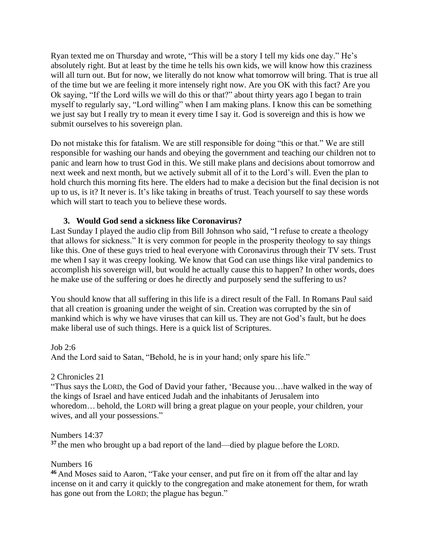Ryan texted me on Thursday and wrote, "This will be a story I tell my kids one day." He's absolutely right. But at least by the time he tells his own kids, we will know how this craziness will all turn out. But for now, we literally do not know what tomorrow will bring. That is true all of the time but we are feeling it more intensely right now. Are you OK with this fact? Are you Ok saying, "If the Lord wills we will do this or that?" about thirty years ago I began to train myself to regularly say, "Lord willing" when I am making plans. I know this can be something we just say but I really try to mean it every time I say it. God is sovereign and this is how we submit ourselves to his sovereign plan.

Do not mistake this for fatalism. We are still responsible for doing "this or that." We are still responsible for washing our hands and obeying the government and teaching our children not to panic and learn how to trust God in this. We still make plans and decisions about tomorrow and next week and next month, but we actively submit all of it to the Lord's will. Even the plan to hold church this morning fits here. The elders had to make a decision but the final decision is not up to us, is it? It never is. It's like taking in breaths of trust. Teach yourself to say these words which will start to teach you to believe these words.

## **3. Would God send a sickness like Coronavirus?**

Last Sunday I played the audio clip from Bill Johnson who said, "I refuse to create a theology that allows for sickness." It is very common for people in the prosperity theology to say things like this. One of these guys tried to heal everyone with Coronavirus through their TV sets. Trust me when I say it was creepy looking. We know that God can use things like viral pandemics to accomplish his sovereign will, but would he actually cause this to happen? In other words, does he make use of the suffering or does he directly and purposely send the suffering to us?

You should know that all suffering in this life is a direct result of the Fall. In Romans Paul said that all creation is groaning under the weight of sin. Creation was corrupted by the sin of mankind which is why we have viruses that can kill us. They are not God's fault, but he does make liberal use of such things. Here is a quick list of Scriptures.

Job 2:6 And the Lord said to Satan, "Behold, he is in your hand; only spare his life."

### 2 Chronicles 21

"Thus says the LORD, the God of David your father, 'Because you…have walked in the way of the kings of Israel and have enticed Judah and the inhabitants of Jerusalem into whoredom… behold, the LORD will bring a great plague on your people, your children, your wives, and all your possessions."

Numbers 14:37

**<sup>37</sup>** the men who brought up a bad report of the land—died by plague before the LORD.

### Numbers 16

**<sup>46</sup>** And Moses said to Aaron, "Take your censer, and put fire on it from off the altar and lay incense on it and carry it quickly to the congregation and make atonement for them, for wrath has gone out from the LORD; the plague has begun."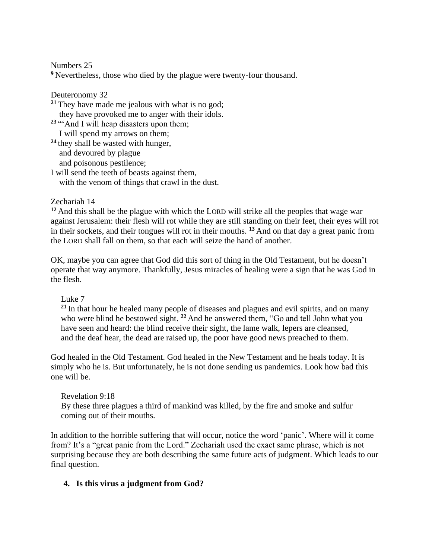Numbers 25 **<sup>9</sup>** Nevertheless, those who died by the plague were twenty-four thousand.

Deuteronomy 32 **<sup>21</sup>** They have made me jealous with what is no god; they have provoked me to anger with their idols. <sup>23</sup> "And I will heap disasters upon them; I will spend my arrows on them; **<sup>24</sup>** they shall be wasted with hunger, and devoured by plague and poisonous pestilence; I will send the teeth of beasts against them,

with the venom of things that crawl in the dust.

Zechariah 14

**<sup>12</sup>** And this shall be the plague with which the LORD will strike all the peoples that wage war against Jerusalem: their flesh will rot while they are still standing on their feet, their eyes will rot in their sockets, and their tongues will rot in their mouths. **<sup>13</sup>** And on that day a great panic from the LORD shall fall on them, so that each will seize the hand of another.

OK, maybe you can agree that God did this sort of thing in the Old Testament, but he doesn't operate that way anymore. Thankfully, Jesus miracles of healing were a sign that he was God in the flesh.

Luke 7

**<sup>21</sup>** In that hour he healed many people of diseases and plagues and evil spirits, and on many who were blind he bestowed sight. **<sup>22</sup>** And he answered them, "Go and tell John what you have seen and heard: the blind receive their sight, the lame walk, lepers are cleansed, and the deaf hear, the dead are raised up, the poor have good news preached to them.

God healed in the Old Testament. God healed in the New Testament and he heals today. It is simply who he is. But unfortunately, he is not done sending us pandemics. Look how bad this one will be.

Revelation 9:18 By these three plagues a third of mankind was killed, by the fire and smoke and sulfur coming out of their mouths.

In addition to the horrible suffering that will occur, notice the word 'panic'. Where will it come from? It's a "great panic from the Lord." Zechariah used the exact same phrase, which is not surprising because they are both describing the same future acts of judgment. Which leads to our final question.

# **4. Is this virus a judgment from God?**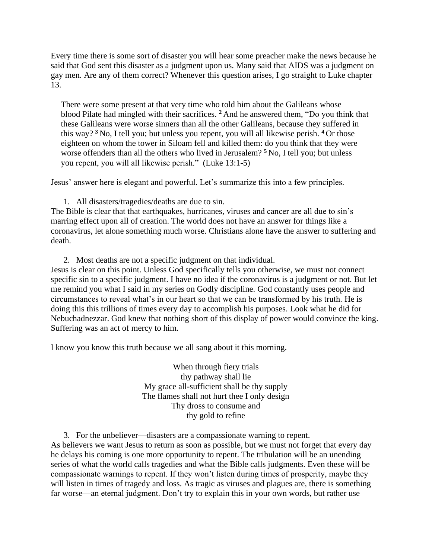Every time there is some sort of disaster you will hear some preacher make the news because he said that God sent this disaster as a judgment upon us. Many said that AIDS was a judgment on gay men. Are any of them correct? Whenever this question arises, I go straight to Luke chapter 13.

There were some present at that very time who told him about the Galileans whose blood Pilate had mingled with their sacrifices. **<sup>2</sup>** And he answered them, "Do you think that these Galileans were worse sinners than all the other Galileans, because they suffered in this way? **<sup>3</sup>** No, I tell you; but unless you repent, you will all likewise perish. **<sup>4</sup>** Or those eighteen on whom the tower in Siloam fell and killed them: do you think that they were worse offenders than all the others who lived in Jerusalem? **<sup>5</sup>** No, I tell you; but unless you repent, you will all likewise perish." (Luke 13:1-5)

Jesus' answer here is elegant and powerful. Let's summarize this into a few principles.

1. All disasters/tragedies/deaths are due to sin.

The Bible is clear that that earthquakes, hurricanes, viruses and cancer are all due to sin's marring effect upon all of creation. The world does not have an answer for things like a coronavirus, let alone something much worse. Christians alone have the answer to suffering and death.

2. Most deaths are not a specific judgment on that individual.

Jesus is clear on this point. Unless God specifically tells you otherwise, we must not connect specific sin to a specific judgment. I have no idea if the coronavirus is a judgment or not. But let me remind you what I said in my series on Godly discipline. God constantly uses people and circumstances to reveal what's in our heart so that we can be transformed by his truth. He is doing this this trillions of times every day to accomplish his purposes. Look what he did for Nebuchadnezzar. God knew that nothing short of this display of power would convince the king. Suffering was an act of mercy to him.

I know you know this truth because we all sang about it this morning.

When through fiery trials thy pathway shall lie My grace all-sufficient shall be thy supply The flames shall not hurt thee I only design Thy dross to consume and thy gold to refine

3. For the unbeliever—disasters are a compassionate warning to repent. As believers we want Jesus to return as soon as possible, but we must not forget that every day he delays his coming is one more opportunity to repent. The tribulation will be an unending series of what the world calls tragedies and what the Bible calls judgments. Even these will be compassionate warnings to repent. If they won't listen during times of prosperity, maybe they will listen in times of tragedy and loss. As tragic as viruses and plagues are, there is something far worse—an eternal judgment. Don't try to explain this in your own words, but rather use